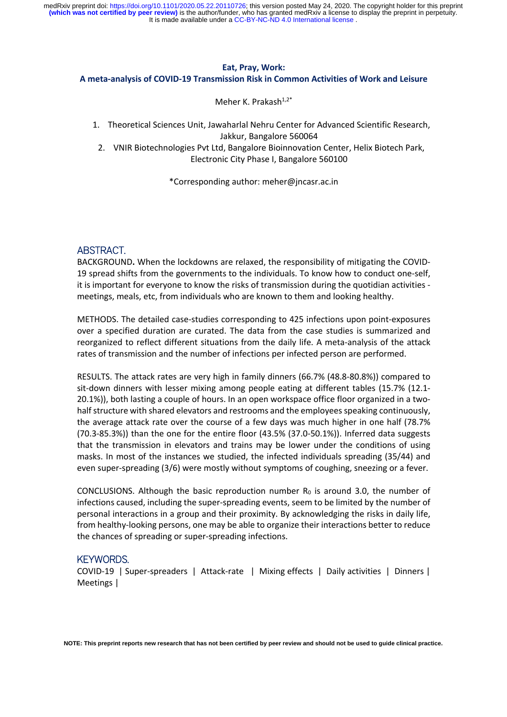#### **Eat, Pray, Work:**

#### **A meta-analysis of COVID-19 Transmission Risk in Common Activities of Work and Leisure**

Meher K. Prakash $1,2^*$ 

- 1. Theoretical Sciences Unit, Jawaharlal Nehru Center for Advanced Scientific Research, Jakkur, Bangalore 560064
- 2. VNIR Biotechnologies Pvt Ltd, Bangalore Bioinnovation Center, Helix Biotech Park, Electronic City Phase I, Bangalore 560100

\*Corresponding author: meher@jncasr.ac.in

## ABSTRACT.

BACKGROUND**.** When the lockdowns are relaxed, the responsibility of mitigating the COVID-19 spread shifts from the governments to the individuals. To know how to conduct one-self, it is important for everyone to know the risks of transmission during the quotidian activities meetings, meals, etc, from individuals who are known to them and looking healthy.

METHODS. The detailed case-studies corresponding to 425 infections upon point-exposures over a specified duration are curated. The data from the case studies is summarized and reorganized to reflect different situations from the daily life. A meta-analysis of the attack rates of transmission and the number of infections per infected person are performed.

RESULTS. The attack rates are very high in family dinners (66.7% (48.8-80.8%)) compared to sit-down dinners with lesser mixing among people eating at different tables (15.7% (12.1- 20.1%)), both lasting a couple of hours. In an open workspace office floor organized in a twohalf structure with shared elevators and restrooms and the employees speaking continuously, the average attack rate over the course of a few days was much higher in one half (78.7% (70.3-85.3%)) than the one for the entire floor (43.5% (37.0-50.1%)). Inferred data suggests that the transmission in elevators and trains may be lower under the conditions of using masks. In most of the instances we studied, the infected individuals spreading (35/44) and even super-spreading (3/6) were mostly without symptoms of coughing, sneezing or a fever.

CONCLUSIONS. Although the basic reproduction number  $R_0$  is around 3.0, the number of infections caused, including the super-spreading events, seem to be limited by the number of personal interactions in a group and their proximity. By acknowledging the risks in daily life, from healthy-looking persons, one may be able to organize their interactions better to reduce the chances of spreading or super-spreading infections.

#### KEYWORDS.

COVID-19 | Super-spreaders | Attack-rate | Mixing effects | Daily activities | Dinners | Meetings |

**NOTE: This preprint reports new research that has not been certified by peer review and should not be used to guide clinical practice.**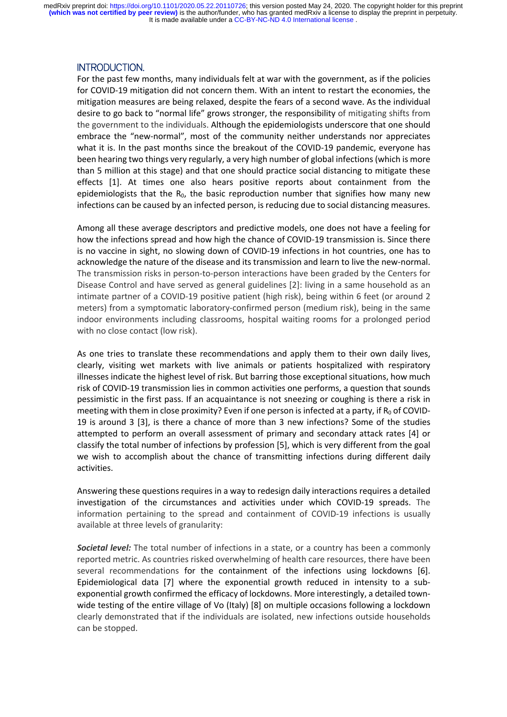# INTRODUCTION.

For the past few months, many individuals felt at war with the government, as if the policies for COVID-19 mitigation did not concern them. With an intent to restart the economies, the mitigation measures are being relaxed, despite the fears of a second wave. As the individual desire to go back to "normal life" grows stronger, the responsibility of mitigating shifts from the government to the individuals. Although the epidemiologists underscore that one should embrace the "new-normal", most of the community neither understands nor appreciates what it is. In the past months since the breakout of the COVID-19 pandemic, everyone has been hearing two things very regularly, a very high number of global infections (which is more than 5 million at this stage) and that one should practice social distancing to mitigate these effects [1]. At times one also hears positive reports about containment from the epidemiologists that the  $R_0$ , the basic reproduction number that signifies how many new infections can be caused by an infected person, is reducing due to social distancing measures.

Among all these average descriptors and predictive models, one does not have a feeling for how the infections spread and how high the chance of COVID-19 transmission is. Since there is no vaccine in sight, no slowing down of COVID-19 infections in hot countries, one has to acknowledge the nature of the disease and its transmission and learn to live the new-normal. The transmission risks in person-to-person interactions have been graded by the Centers for Disease Control and have served as general guidelines [2]: living in a same household as an intimate partner of a COVID-19 positive patient (high risk), being within 6 feet (or around 2 meters) from a symptomatic laboratory-confirmed person (medium risk), being in the same indoor environments including classrooms, hospital waiting rooms for a prolonged period with no close contact (low risk).

As one tries to translate these recommendations and apply them to their own daily lives, clearly, visiting wet markets with live animals or patients hospitalized with respiratory illnesses indicate the highest level of risk. But barring those exceptional situations, how much risk of COVID-19 transmission lies in common activities one performs, a question that sounds pessimistic in the first pass. If an acquaintance is not sneezing or coughing is there a risk in meeting with them in close proximity? Even if one person is infected at a party, if  $R_0$  of COVID-19 is around 3 [3], is there a chance of more than 3 new infections? Some of the studies attempted to perform an overall assessment of primary and secondary attack rates [4] or classify the total number of infections by profession [5], which is very different from the goal we wish to accomplish about the chance of transmitting infections during different daily activities.

Answering these questions requires in a way to redesign daily interactions requires a detailed investigation of the circumstances and activities under which COVID-19 spreads. The information pertaining to the spread and containment of COVID-19 infections is usually available at three levels of granularity:

*Societal level:* The total number of infections in a state, or a country has been a commonly reported metric. As countries risked overwhelming of health care resources, there have been several recommendations for the containment of the infections using lockdowns [6]. Epidemiological data [7] where the exponential growth reduced in intensity to a subexponential growth confirmed the efficacy of lockdowns. More interestingly, a detailed townwide testing of the entire village of Vo (Italy) [8] on multiple occasions following a lockdown clearly demonstrated that if the individuals are isolated, new infections outside households can be stopped.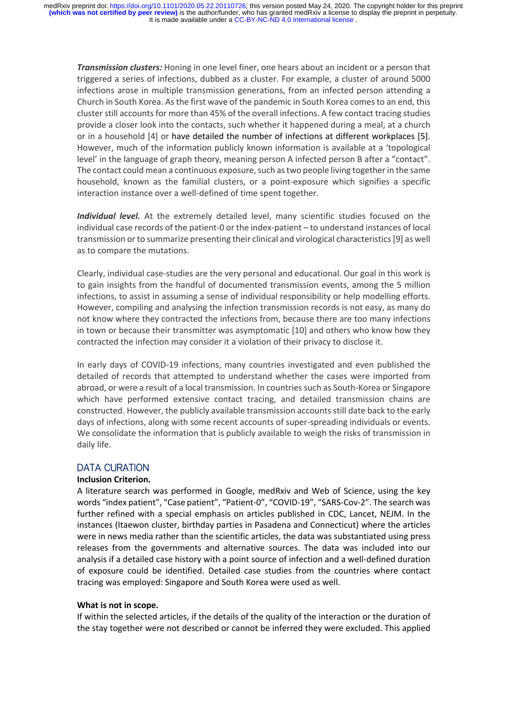*Transmission clusters:* Honing in one level finer, one hears about an incident or a person that triggered a series of infections, dubbed as a cluster. For example, a cluster of around 5000 infections arose in multiple transmission generations, from an infected person attending a Church in South Korea. Asthe first wave of the pandemic in South Korea comesto an end, this cluster still accounts for more than 45% of the overall infections. A few contact tracing studies provide a closer look into the contacts, such whether it happened during a meal, at a church or in a household [4] or have detailed the number of infections at different workplaces [5]. However, much of the information publicly known information is available at a 'topological level' in the language of graph theory, meaning person A infected person B after a "contact". The contact could mean a continuous exposure, such as two people living together in the same household, known as the familial clusters, or a point-exposure which signifies a specific interaction instance over a well-defined of time spent together.

*Individual level.* At the extremely detailed level, many scientific studies focused on the individual case records of the patient-0 or the index-patient – to understand instances of local transmission orto summarize presenting their clinical and virological characteristics[9] as well as to compare the mutations.

Clearly, individual case-studies are the very personal and educational. Our goal in this work is to gain insights from the handful of documented transmission events, among the 5 million infections, to assist in assuming a sense of individual responsibility or help modelling efforts. However, compiling and analysing the infection transmission records is not easy, as many do not know where they contracted the infections from, because there are too many infections in town or because their transmitter was asymptomatic [10] and others who know how they contracted the infection may consider it a violation of their privacy to disclose it.

In early days of COVID-19 infections, many countries investigated and even published the detailed of records that attempted to understand whether the cases were imported from abroad, or were a result of a local transmission. In countriessuch as South-Korea or Singapore which have performed extensive contact tracing, and detailed transmission chains are constructed. However, the publicly available transmission accounts still date back to the early days of infections, along with some recent accounts of super-spreading individuals or events. We consolidate the information that is publicly available to weigh the risks of transmission in daily life.

# DATA CURATION

# **Inclusion Criterion.**

A literature search was performed in Google, medRxiv and Web of Science, using the key words "index patient", "Case patient", "Patient-0", "COVID-19", "SARS-Cov-2". The search was further refined with a special emphasis on articles published in CDC, Lancet, NEJM. In the instances (Itaewon cluster, birthday parties in Pasadena and Connecticut) where the articles were in news media rather than the scientific articles, the data was substantiated using press releases from the governments and alternative sources. The data was included into our analysis if a detailed case history with a point source of infection and a well-defined duration of exposure could be identified. Detailed case studies from the countries where contact tracing was employed: Singapore and South Korea were used as well.

# **What is not in scope.**

If within the selected articles, if the details of the quality of the interaction or the duration of the stay together were not described or cannot be inferred they were excluded. This applied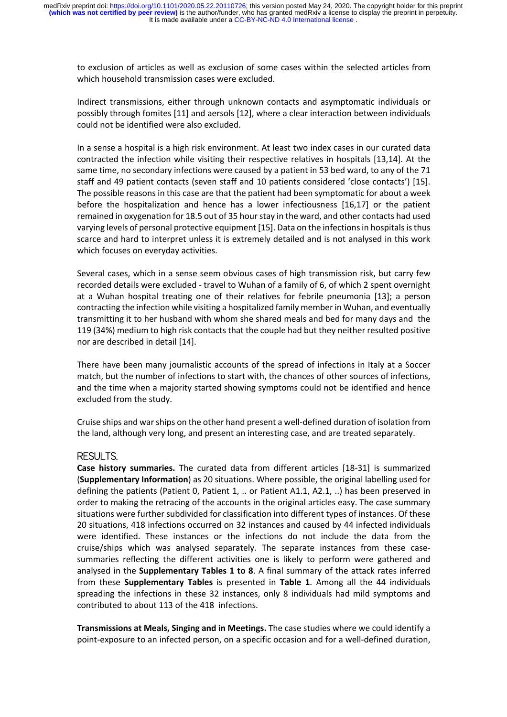to exclusion of articles as well as exclusion of some cases within the selected articles from which household transmission cases were excluded.

Indirect transmissions, either through unknown contacts and asymptomatic individuals or possibly through fomites [11] and aersols [12], where a clear interaction between individuals could not be identified were also excluded.

In a sense a hospital is a high risk environment. At least two index cases in our curated data contracted the infection while visiting their respective relatives in hospitals [13,14]. At the same time, no secondary infections were caused by a patient in 53 bed ward, to any of the 71 staff and 49 patient contacts (seven staff and 10 patients considered 'close contacts') [15]. The possible reasons in this case are that the patient had been symptomatic for about a week before the hospitalization and hence has a lower infectiousness [16,17] or the patient remained in oxygenation for 18.5 out of 35 hour stay in the ward, and other contacts had used varying levels of personal protective equipment [15]. Data on the infections in hospitals is thus scarce and hard to interpret unless it is extremely detailed and is not analysed in this work which focuses on everyday activities.

Several cases, which in a sense seem obvious cases of high transmission risk, but carry few recorded details were excluded - travel to Wuhan of a family of 6, of which 2 spent overnight at a Wuhan hospital treating one of their relatives for febrile pneumonia [13]; a person contracting the infection while visiting a hospitalized family member in Wuhan, and eventually transmitting it to her husband with whom she shared meals and bed for many days and the 119 (34%) medium to high risk contacts that the couple had but they neither resulted positive nor are described in detail [14].

There have been many journalistic accounts of the spread of infections in Italy at a Soccer match, but the number of infections to start with, the chances of other sources of infections, and the time when a majority started showing symptoms could not be identified and hence excluded from the study.

Cruise ships and war ships on the other hand present a well-defined duration of isolation from the land, although very long, and present an interesting case, and are treated separately.

# RESULTS.

**Case history summaries.** The curated data from different articles [18-31] is summarized (**Supplementary Information**) as 20 situations. Where possible, the original labelling used for defining the patients (Patient 0, Patient 1, .. or Patient A1.1, A2.1, ..) has been preserved in order to making the retracing of the accounts in the original articles easy. The case summary situations were further subdivided for classification into different types of instances. Of these 20 situations, 418 infections occurred on 32 instances and caused by 44 infected individuals were identified. These instances or the infections do not include the data from the cruise/ships which was analysed separately. The separate instances from these casesummaries reflecting the different activities one is likely to perform were gathered and analysed in the **Supplementary Tables 1 to 8**. A final summary of the attack rates inferred from these **Supplementary Tables** is presented in **Table 1**. Among all the 44 individuals spreading the infections in these 32 instances, only 8 individuals had mild symptoms and contributed to about 113 of the 418 infections.

**Transmissions at Meals, Singing and in Meetings.** The case studies where we could identify a point-exposure to an infected person, on a specific occasion and for a well-defined duration,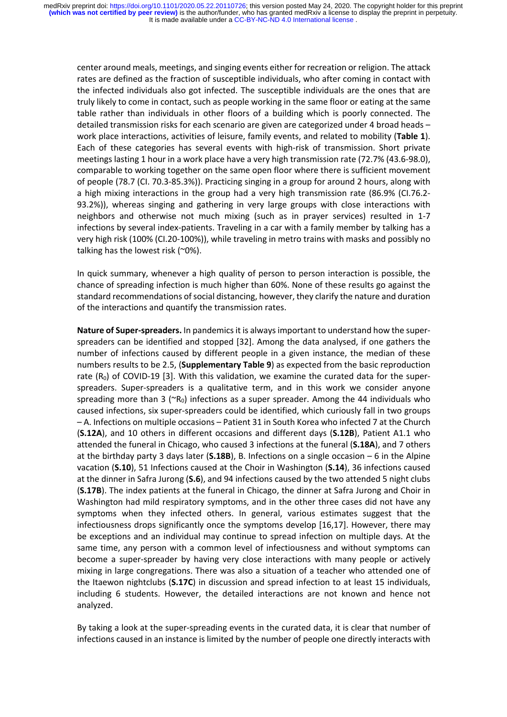center around meals, meetings, and singing events either for recreation or religion. The attack rates are defined as the fraction of susceptible individuals, who after coming in contact with the infected individuals also got infected. The susceptible individuals are the ones that are truly likely to come in contact, such as people working in the same floor or eating at the same table rather than individuals in other floors of a building which is poorly connected. The detailed transmission risks for each scenario are given are categorized under 4 broad heads – work place interactions, activities of leisure, family events, and related to mobility (**Table 1**). Each of these categories has several events with high-risk of transmission. Short private meetings lasting 1 hour in a work place have a very high transmission rate (72.7% (43.6-98.0), comparable to working together on the same open floor where there is sufficient movement of people (78.7 (CI. 70.3-85.3%)). Practicing singing in a group for around 2 hours, along with a high mixing interactions in the group had a very high transmission rate (86.9% (CI.76.2- 93.2%)), whereas singing and gathering in very large groups with close interactions with neighbors and otherwise not much mixing (such as in prayer services) resulted in 1-7 infections by several index-patients. Traveling in a car with a family member by talking has a very high risk (100% (CI.20-100%)), while traveling in metro trains with masks and possibly no talking has the lowest risk (~0%).

In quick summary, whenever a high quality of person to person interaction is possible, the chance of spreading infection is much higher than 60%. None of these results go against the standard recommendations of social distancing, however, they clarify the nature and duration of the interactions and quantify the transmission rates.

**Nature of Super-spreaders.** In pandemics it is always important to understand how the superspreaders can be identified and stopped [32]. Among the data analysed, if one gathers the number of infections caused by different people in a given instance, the median of these numbers results to be 2.5, (**Supplementary Table 9**) as expected from the basic reproduction rate  $(R_0)$  of COVID-19 [3]. With this validation, we examine the curated data for the superspreaders. Super-spreaders is a qualitative term, and in this work we consider anyone spreading more than 3 ( $R_0$ ) infections as a super spreader. Among the 44 individuals who caused infections, six super-spreaders could be identified, which curiously fall in two groups – A. Infections on multiple occasions – Patient 31 in South Korea who infected 7 at the Church (**S.12A**), and 10 others in different occasions and different days (**S.12B**), Patient A1.1 who attended the funeral in Chicago, who caused 3 infections at the funeral (**S.18A**), and 7 others at the birthday party 3 days later (**S.18B**), B. Infections on a single occasion – 6 in the Alpine vacation (**S.10**), 51 Infections caused at the Choir in Washington (**S.14**), 36 infections caused at the dinner in Safra Jurong (**S.6**), and 94 infections caused by the two attended 5 night clubs (**S.17B**). The index patients at the funeral in Chicago, the dinner at Safra Jurong and Choir in Washington had mild respiratory symptoms, and in the other three cases did not have any symptoms when they infected others. In general, various estimates suggest that the infectiousness drops significantly once the symptoms develop [16,17]. However, there may be exceptions and an individual may continue to spread infection on multiple days. At the same time, any person with a common level of infectiousness and without symptoms can become a super-spreader by having very close interactions with many people or actively mixing in large congregations. There was also a situation of a teacher who attended one of the Itaewon nightclubs (**S.17C**) in discussion and spread infection to at least 15 individuals, including 6 students. However, the detailed interactions are not known and hence not analyzed.

By taking a look at the super-spreading events in the curated data, it is clear that number of infections caused in an instance is limited by the number of people one directly interacts with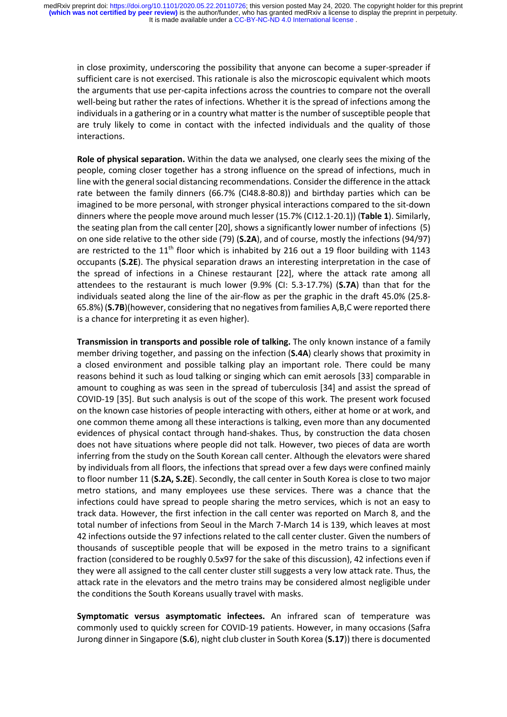in close proximity, underscoring the possibility that anyone can become a super-spreader if sufficient care is not exercised. This rationale is also the microscopic equivalent which moots the arguments that use per-capita infections across the countries to compare not the overall well-being but rather the rates of infections. Whether it is the spread of infections among the individuals in a gathering or in a country what matter is the number of susceptible people that are truly likely to come in contact with the infected individuals and the quality of those interactions.

**Role of physical separation.** Within the data we analysed, one clearly sees the mixing of the people, coming closer together has a strong influence on the spread of infections, much in line with the general social distancing recommendations. Consider the difference in the attack rate between the family dinners (66.7% (CI48.8-80.8)) and birthday parties which can be imagined to be more personal, with stronger physical interactions compared to the sit-down dinners where the people move around much lesser (15.7% (CI12.1-20.1)) (**Table 1**). Similarly, the seating plan from the call center [20], shows a significantly lower number of infections (5) on one side relative to the other side (79) (**S.2A**), and of course, mostly the infections (94/97) are restricted to the  $11<sup>th</sup>$  floor which is inhabited by 216 out a 19 floor building with 1143 occupants (**S.2E**). The physical separation draws an interesting interpretation in the case of the spread of infections in a Chinese restaurant [22], where the attack rate among all attendees to the restaurant is much lower (9.9% (CI: 5.3-17.7%) (**S.7A**) than that for the individuals seated along the line of the air-flow as per the graphic in the draft 45.0% (25.8- 65.8%) (**S.7B**)(however, considering that no negatives from families A,B,C were reported there is a chance for interpreting it as even higher).

**Transmission in transports and possible role of talking.** The only known instance of a family member driving together, and passing on the infection (**S.4A**) clearly shows that proximity in a closed environment and possible talking play an important role. There could be many reasons behind it such as loud talking or singing which can emit aerosols [33] comparable in amount to coughing as was seen in the spread of tuberculosis [34] and assist the spread of COVID-19 [35]. But such analysis is out of the scope of this work. The present work focused on the known case histories of people interacting with others, either at home or at work, and one common theme among all these interactions is talking, even more than any documented evidences of physical contact through hand-shakes. Thus, by construction the data chosen does not have situations where people did not talk. However, two pieces of data are worth inferring from the study on the South Korean call center. Although the elevators were shared by individuals from all floors, the infections that spread over a few days were confined mainly to floor number 11 (**S.2A, S.2E**). Secondly, the call center in South Korea is close to two major metro stations, and many employees use these services. There was a chance that the infections could have spread to people sharing the metro services, which is not an easy to track data. However, the first infection in the call center was reported on March 8, and the total number of infections from Seoul in the March 7-March 14 is 139, which leaves at most 42 infections outside the 97 infections related to the call center cluster. Given the numbers of thousands of susceptible people that will be exposed in the metro trains to a significant fraction (considered to be roughly 0.5x97 for the sake of this discussion), 42 infections even if they were all assigned to the call center cluster still suggests a very low attack rate. Thus, the attack rate in the elevators and the metro trains may be considered almost negligible under the conditions the South Koreans usually travel with masks.

**Symptomatic versus asymptomatic infectees.** An infrared scan of temperature was commonly used to quickly screen for COVID-19 patients. However, in many occasions (Safra Jurong dinner in Singapore (**S.6**), night club cluster in South Korea (**S.17**)) there is documented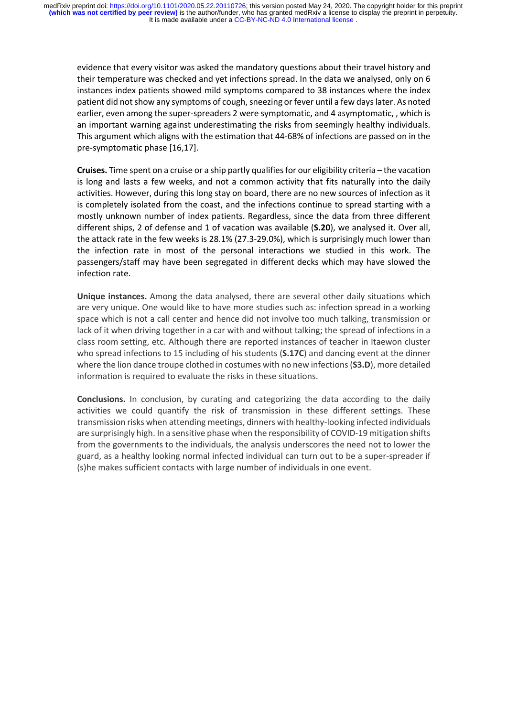evidence that every visitor was asked the mandatory questions about their travel history and their temperature was checked and yet infections spread. In the data we analysed, only on 6 instances index patients showed mild symptoms compared to 38 instances where the index patient did not show any symptoms of cough, sneezing or fever until a few days later. As noted earlier, even among the super-spreaders 2 were symptomatic, and 4 asymptomatic, , which is an important warning against underestimating the risks from seemingly healthy individuals. This argument which aligns with the estimation that 44-68% of infections are passed on in the pre-symptomatic phase [16,17].

**Cruises.** Time spent on a cruise or a ship partly qualifies for our eligibility criteria – the vacation is long and lasts a few weeks, and not a common activity that fits naturally into the daily activities. However, during this long stay on board, there are no new sources of infection as it is completely isolated from the coast, and the infections continue to spread starting with a mostly unknown number of index patients. Regardless, since the data from three different different ships, 2 of defense and 1 of vacation was available (**S.20**), we analysed it. Over all, the attack rate in the few weeks is 28.1% (27.3-29.0%), which is surprisingly much lower than the infection rate in most of the personal interactions we studied in this work. The passengers/staff may have been segregated in different decks which may have slowed the infection rate.

**Unique instances.** Among the data analysed, there are several other daily situations which are very unique. One would like to have more studies such as: infection spread in a working space which is not a call center and hence did not involve too much talking, transmission or lack of it when driving together in a car with and without talking; the spread of infections in a class room setting, etc. Although there are reported instances of teacher in Itaewon cluster who spread infections to 15 including of his students (**S.17C**) and dancing event at the dinner where the lion dance troupe clothed in costumes with no new infections(**S3.D**), more detailed information is required to evaluate the risks in these situations.

**Conclusions.** In conclusion, by curating and categorizing the data according to the daily activities we could quantify the risk of transmission in these different settings. These transmission risks when attending meetings, dinners with healthy-looking infected individuals are surprisingly high. In a sensitive phase when the responsibility of COVID-19 mitigation shifts from the governments to the individuals, the analysis underscores the need not to lower the guard, as a healthy looking normal infected individual can turn out to be a super-spreader if (s)he makes sufficient contacts with large number of individuals in one event.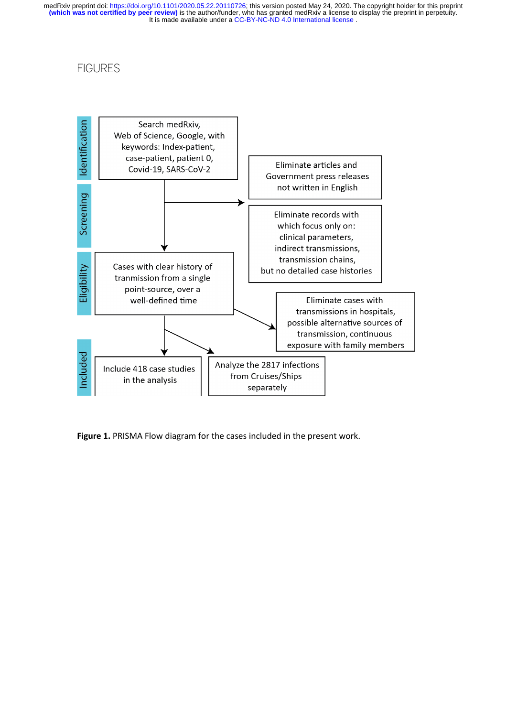# **FIGURES**



**Figure 1.** PRISMA Flow diagram for the cases included in the present work.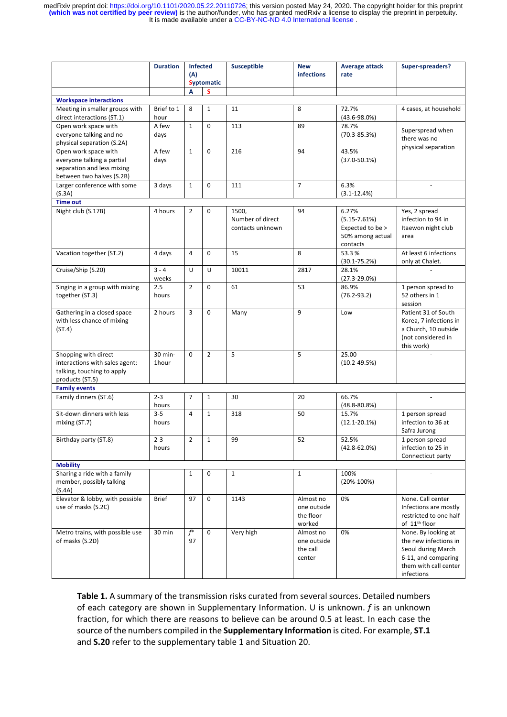| <b>Duration</b>                                                                                               |                  | <b>Infected</b><br>(A)<br><b>Syptomatic</b><br>S<br>A |                | <b>Susceptible</b>                            | <b>New</b><br><b>infections</b>                 | <b>Average attack</b><br>rate                                                 | Super-spreaders?                                                                                                                 |
|---------------------------------------------------------------------------------------------------------------|------------------|-------------------------------------------------------|----------------|-----------------------------------------------|-------------------------------------------------|-------------------------------------------------------------------------------|----------------------------------------------------------------------------------------------------------------------------------|
| <b>Workspace interactions</b>                                                                                 |                  |                                                       |                |                                               |                                                 |                                                                               |                                                                                                                                  |
| Meeting in smaller groups with                                                                                | Brief to 1       | 8                                                     | $\mathbf{1}$   | 11                                            | 8                                               | 72.7%                                                                         | 4 cases, at household                                                                                                            |
| direct interactions (ST.1)                                                                                    | hour             |                                                       |                |                                               |                                                 | $(43.6 - 98.0\%)$                                                             |                                                                                                                                  |
| Open work space with                                                                                          | A few            | $\mathbf{1}$                                          | $\Omega$       | 113                                           | 89                                              | 78.7%                                                                         |                                                                                                                                  |
| everyone talking and no<br>physical separation (S.2A)                                                         | days             |                                                       |                |                                               |                                                 | $(70.3 - 85.3%)$                                                              | Superspread when<br>there was no                                                                                                 |
| Open work space with<br>everyone talking a partial<br>separation and less mixing<br>between two halves (S.2B) | A few<br>days    | $\mathbf{1}$                                          | $\mathbf 0$    | 216                                           | 94                                              | 43.5%<br>$(37.0 - 50.1%)$                                                     | physical separation                                                                                                              |
| Larger conference with some<br>(S.3A)                                                                         | 3 days           | $\mathbf{1}$                                          | $\mathbf 0$    | 111                                           | $\overline{7}$                                  | 6.3%<br>$(3.1 - 12.4%)$                                                       |                                                                                                                                  |
| <b>Time out</b>                                                                                               |                  |                                                       |                |                                               |                                                 |                                                                               |                                                                                                                                  |
| Night club (S.17B)                                                                                            | 4 hours          | $\overline{2}$                                        | $\mathbf 0$    | 1500,<br>Number of direct<br>contacts unknown | 94                                              | 6.27%<br>$(5.15 - 7.61%)$<br>Expected to be ><br>50% among actual<br>contacts | Yes, 2 spread<br>infection to 94 in<br>Itaewon night club<br>area                                                                |
| Vacation together (ST.2)                                                                                      | 4 days           | 4                                                     | $\mathbf 0$    | 15                                            | 8                                               | 53.3%<br>$(30.1 - 75.2%)$                                                     | At least 6 infections<br>only at Chalet.                                                                                         |
| Cruise/Ship (S.20)                                                                                            | $3 - 4$<br>weeks | U                                                     | U              | 10011                                         | 2817                                            | 28.1%<br>$(27.3 - 29.0\%)$                                                    |                                                                                                                                  |
| Singing in a group with mixing<br>together (ST.3)                                                             | 2.5<br>hours     | $\overline{2}$                                        | $\mathbf 0$    | 61                                            | 53                                              | 86.9%<br>$(76.2 - 93.2)$                                                      | 1 person spread to<br>52 others in 1<br>session                                                                                  |
| Gathering in a closed space<br>with less chance of mixing<br>(ST.4)                                           | 2 hours          | 3                                                     | $\Omega$       | Many                                          | 9                                               | Low                                                                           | Patient 31 of South<br>Korea, 7 infections in<br>a Church, 10 outside<br>(not considered in<br>this work)                        |
| Shopping with direct<br>interactions with sales agent:<br>talking, touching to apply<br>products (ST.5)       | 30 min-<br>1hour | $\Omega$                                              | $\overline{2}$ | 5                                             | 5                                               | 25.00<br>$(10.2 - 49.5%)$                                                     |                                                                                                                                  |
| <b>Family events</b>                                                                                          | $2 - 3$          | $\overline{7}$                                        | $\mathbf{1}$   |                                               |                                                 |                                                                               |                                                                                                                                  |
| Family dinners (ST.6)                                                                                         | hours            |                                                       |                | 30                                            | 20                                              | 66.7%<br>(48.8-80.8%)                                                         |                                                                                                                                  |
| Sit-down dinners with less<br>mixing (ST.7)                                                                   | $3 - 5$<br>hours | 4                                                     | $\mathbf{1}$   | 318                                           | 50                                              | 15.7%<br>$(12.1 - 20.1\%)$                                                    | 1 person spread<br>infection to 36 at<br>Safra Jurong                                                                            |
| Birthday party (ST.8)                                                                                         | $2 - 3$<br>hours | $\overline{2}$                                        | $\mathbf 1$    | 99                                            | 52                                              | 52.5%<br>$(42.8 - 62.0\%)$                                                    | 1 person spread<br>infection to 25 in<br>Connecticut party                                                                       |
| <b>Mobility</b>                                                                                               |                  |                                                       |                |                                               |                                                 |                                                                               |                                                                                                                                  |
| Sharing a ride with a family<br>member, possibly talking<br>(S.4A)                                            |                  | $\mathbf{1}$                                          | $\mathbf 0$    | $\mathbf{1}$                                  | $\mathbf{1}$                                    | 100%<br>$(20\% - 100\%)$                                                      |                                                                                                                                  |
| Elevator & lobby, with possible<br>use of masks (S.2C)                                                        | <b>Brief</b>     | 97                                                    | $\mathsf 0$    | 1143                                          | Almost no<br>one outside<br>the floor<br>worked | 0%                                                                            | None. Call center<br>Infections are mostly<br>restricted to one half<br>of 11 <sup>th</sup> floor                                |
| Metro trains, with possible use<br>of masks (S.2D)                                                            | 30 min           | $\overline{f^*}$<br>97                                | $\mathbf 0$    | Very high                                     | Almost no<br>one outside<br>the call<br>center  | 0%                                                                            | None. By looking at<br>the new infections in<br>Seoul during March<br>6-11, and comparing<br>them with call center<br>infections |

**Table 1.** A summary of the transmission risks curated from several sources. Detailed numbers of each category are shown in Supplementary Information. U is unknown. *f* is an unknown fraction, for which there are reasons to believe can be around 0.5 at least. In each case the source of the numbers compiled in the **Supplementary Information** is cited. For example, **ST.1** and **S.20** refer to the supplementary table 1 and Situation 20.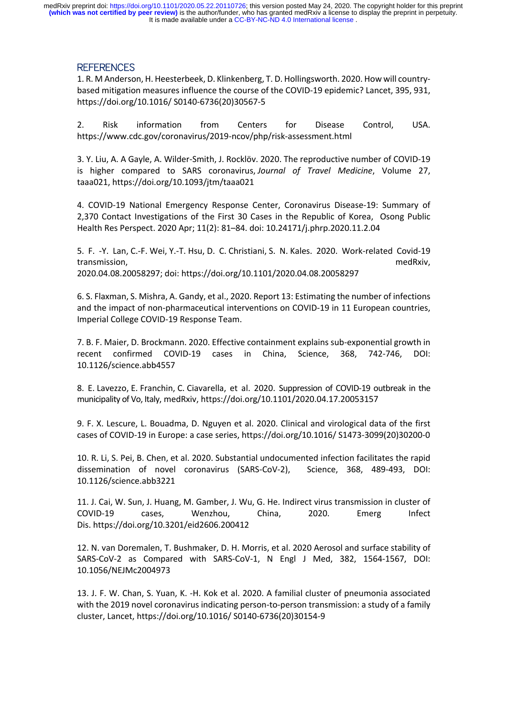# **REFERENCES**

1. R. M Anderson, H. Heesterbeek, D. Klinkenberg, T. D. Hollingsworth. 2020. How will countrybased mitigation measures influence the course of the COVID-19 epidemic? Lancet, 395, 931, https://doi.org/10.1016/ S0140-6736(20)30567-5

2. Risk information from Centers for Disease Control, USA. https://www.cdc.gov/coronavirus/2019-ncov/php/risk-assessment.html

3. Y. Liu, A. A Gayle, A. Wilder-Smith, J. Rocklöv. 2020. The reproductive number of COVID-19 is higher compared to SARS coronavirus, *Journal of Travel Medicine*, Volume 27, taaa021, https://doi.org/10.1093/jtm/taaa021

4. COVID-19 National Emergency Response Center, Coronavirus Disease-19: Summary of 2,370 Contact Investigations of the First 30 Cases in the Republic of Korea, Osong Public Health Res Perspect. 2020 Apr; 11(2): 81–84. doi: 10.24171/j.phrp.2020.11.2.04

5. F. -Y. Lan, C.-F. Wei, Y.-T. Hsu, D. C. Christiani, S. N. Kales. 2020. Work-related Covid-19 transmission, medRxiv, 2020.04.08.20058297; doi: https://doi.org/10.1101/2020.04.08.20058297

6. S. Flaxman, S. Mishra, A. Gandy, et al., 2020. Report 13: Estimating the number of infections and the impact of non-pharmaceutical interventions on COVID-19 in 11 European countries, Imperial College COVID-19 Response Team.

7. B. F. Maier, D. Brockmann. 2020. Effective containment explains sub-exponential growth in recent confirmed COVID-19 cases in China, Science, 368, 742-746, DOI: 10.1126/science.abb4557

8. E. Lavezzo, E. Franchin, C. Ciavarella, et al. 2020. Suppression of COVID-19 outbreak in the municipality of Vo, Italy, medRxiv, https://doi.org/10.1101/2020.04.17.20053157

9. F. X. Lescure, L. Bouadma, D. Nguyen et al. 2020. Clinical and virological data of the first cases of COVID-19 in Europe: a case series, https://doi.org/10.1016/ S1473-3099(20)30200-0

10. R. Li, S. Pei, B. Chen, et al. 2020. Substantial undocumented infection facilitates the rapid dissemination of novel coronavirus (SARS-CoV-2), Science, 368, 489-493, DOI: 10.1126/science.abb3221

11. J. Cai, W. Sun, J. Huang, M. Gamber, J. Wu, G. He. Indirect virus transmission in cluster of COVID-19 cases, Wenzhou, China, 2020. Emerg Infect Dis. https://doi.org/10.3201/eid2606.200412

12. N. van Doremalen, T. Bushmaker, D. H. Morris, et al. 2020 Aerosol and surface stability of SARS-CoV-2 as Compared with SARS-CoV-1, N Engl J Med, 382, 1564-1567, DOI: 10.1056/NEJMc2004973

13. J. F. W. Chan, S. Yuan, K. -H. Kok et al. 2020. A familial cluster of pneumonia associated with the 2019 novel coronavirus indicating person-to-person transmission: a study of a family cluster, Lancet, https://doi.org/10.1016/ S0140-6736(20)30154-9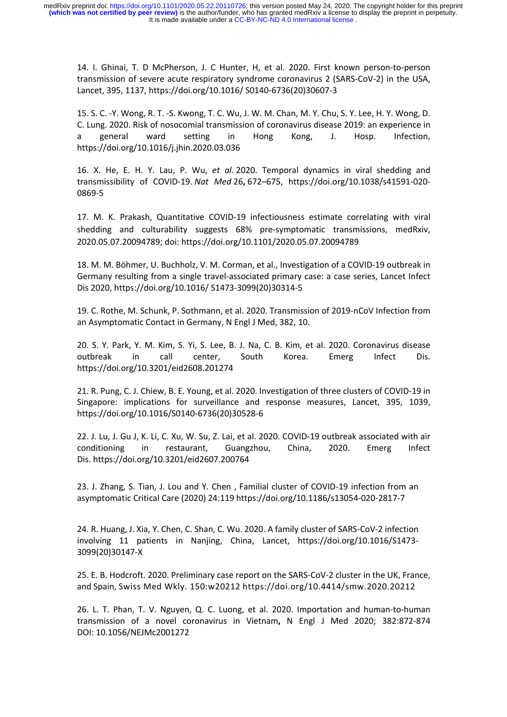14. I. Ghinai, T. D McPherson, J. C Hunter, H, et al. 2020. First known person-to-person transmission of severe acute respiratory syndrome coronavirus 2 (SARS-CoV-2) in the USA, Lancet, 395, 1137, https://doi.org/10.1016/ S0140-6736(20)30607-3

15. S. C. -Y. Wong, R. T. -S. Kwong, T. C. Wu, J. W. M. Chan, M. Y. Chu, S. Y. Lee, H. Y. Wong, D. C. Lung. 2020. Risk of nosocomial transmission of coronavirus disease 2019: an experience in a general ward setting in Hong Kong, J. Hosp. Infection, https://doi.org/10.1016/j.jhin.2020.03.036

16. X. He, E. H. Y. Lau, P. Wu, *et al.* 2020. Temporal dynamics in viral shedding and transmissibility of COVID-19. *Nat Med* 26**,** 672–675, https://doi.org/10.1038/s41591-020- 0869-5

17. M. K. Prakash, Quantitative COVID-19 infectiousness estimate correlating with viral shedding and culturability suggests 68% pre-symptomatic transmissions, medRxiv, 2020.05.07.20094789; doi: https://doi.org/10.1101/2020.05.07.20094789

18. M. M. Böhmer, U. Buchholz, V. M. Corman, et al., Investigation of a COVID-19 outbreak in Germany resulting from a single travel-associated primary case: a case series, Lancet Infect Dis 2020, https://doi.org/10.1016/ S1473-3099(20)30314-5

19. C. Rothe, M. Schunk, P. Sothmann, et al. 2020. Transmission of 2019-nCoV Infection from an Asymptomatic Contact in Germany, N Engl J Med, 382, 10.

20. S. Y. Park, Y. M. Kim, S. Yi, S. Lee, B. J. Na, C. B. Kim, et al. 2020. Coronavirus disease outbreak in call center, South Korea. Emerg Infect Dis. https://doi.org/10.3201/eid2608.201274

21. R. Pung, C. J. Chiew, B. E. Young, et al. 2020. Investigation of three clusters of COVID-19 in Singapore: implications for surveillance and response measures, Lancet, 395, 1039, https://doi.org/10.1016/S0140-6736(20)30528-6

22. J. Lu, J. Gu J, K. Li, C. Xu, W. Su, Z. Lai, et al. 2020. COVID-19 outbreak associated with air conditioning in restaurant, Guangzhou, China, 2020. Emerg Infect Dis. https://doi.org/10.3201/eid2607.200764

23. J. Zhang, S. Tian, J. Lou and Y. Chen , Familial cluster of COVID-19 infection from an asymptomatic Critical Care (2020) 24:119 https://doi.org/10.1186/s13054-020-2817-7

24. R. Huang, J. Xia, Y. Chen, C. Shan, C. Wu. 2020. A family cluster of SARS-CoV-2 infection involving 11 patients in Nanjing, China, Lancet, https://doi.org/10.1016/S1473- 3099(20)30147-X

25. E. B. Hodcroft. 2020. Preliminary case report on the SARS-CoV-2 cluster in the UK, France, and Spain, Swiss Med Wkly. 150:w20212 https://doi.org/10.4414/smw.2020.20212

26. L. T. Phan, T. V. Nguyen, Q. C. Luong, et al. 2020. Importation and human-to-human transmission of a novel coronavirus in Vietnam**,** N Engl J Med 2020; 382:872-874 DOI: 10.1056/NEJMc2001272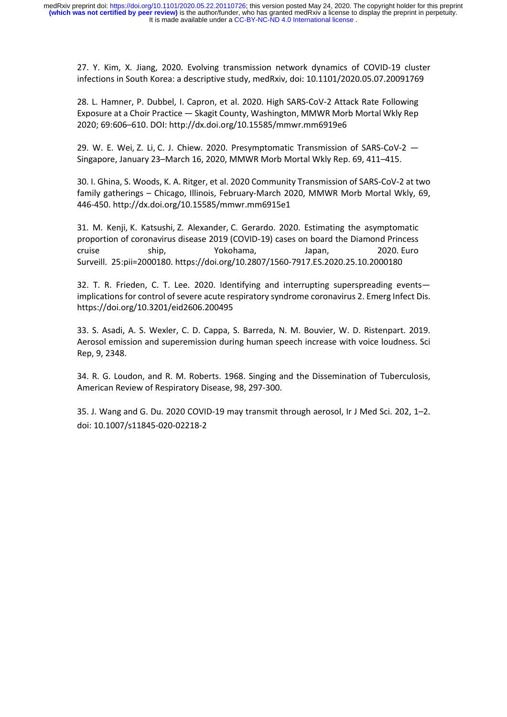27. Y. Kim, X. Jiang, 2020. Evolving transmission network dynamics of COVID-19 cluster infections in South Korea: a descriptive study, medRxiv, doi: 10.1101/2020.05.07.20091769

28. L. Hamner, P. Dubbel, I. Capron, et al. 2020. High SARS-CoV-2 Attack Rate Following Exposure at a Choir Practice — Skagit County, Washington, MMWR Morb Mortal Wkly Rep 2020; 69:606–610. DOI: http://dx.doi.org/10.15585/mmwr.mm6919e6

29. W. E. Wei, Z. Li, C. J. Chiew. 2020. Presymptomatic Transmission of SARS-CoV-2 — Singapore, January 23–March 16, 2020, MMWR Morb Mortal Wkly Rep. 69, 411–415.

30. I. Ghina, S. Woods, K. A. Ritger, et al. 2020 Community Transmission of SARS-CoV-2 at two family gatherings – Chicago, Illinois, February-March 2020, MMWR Morb Mortal Wkly, 69, 446-450. http://dx.doi.org/10.15585/mmwr.mm6915e1

31. M. Kenji, K. Katsushi, Z. Alexander, C. Gerardo. 2020. Estimating the asymptomatic proportion of coronavirus disease 2019 (COVID-19) cases on board the Diamond Princess cruise ship, Yokohama, Japan, 2020. Euro Surveill. 25:pii=2000180. https://doi.org/10.2807/1560-7917.ES.2020.25.10.2000180

32. T. R. Frieden, C. T. Lee. 2020. Identifying and interrupting superspreading events implications for control of severe acute respiratory syndrome coronavirus 2. Emerg Infect Dis. https://doi.org/10.3201/eid2606.200495

33. S. Asadi, A. S. Wexler, C. D. Cappa, S. Barreda, N. M. Bouvier, W. D. Ristenpart. 2019. Aerosol emission and superemission during human speech increase with voice loudness. Sci Rep, 9, 2348.

34. R. G. Loudon, and R. M. Roberts. 1968. Singing and the Dissemination of Tuberculosis, American Review of Respiratory Disease, 98, 297-300.

35. J. Wang and G. Du. 2020 COVID-19 may transmit through aerosol, Ir J Med Sci. 202, 1–2. doi: 10.1007/s11845-020-02218-2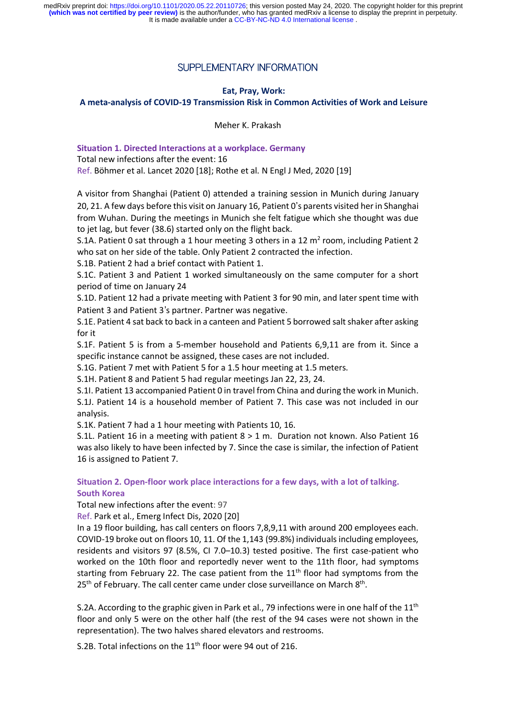# SUPPLEMENTARY INFORMATION

## **Eat, Pray, Work:**

**A meta-analysis of COVID-19 Transmission Risk in Common Activities of Work and Leisure**

Meher K. Prakash

**Situation 1. Directed Interactions at a workplace. Germany**

Total new infections after the event: 16

Ref. Böhmer et al. Lancet 2020 [18]; Rothe et al. N Engl J Med, 2020 [19]

A visitor from Shanghai (Patient 0) attended a training session in Munich during January 20, 21. A few days before this visit on January 16, Patient 0's parents visited herin Shanghai from Wuhan. During the meetings in Munich she felt fatigue which she thought was due to jet lag, but fever (38.6) started only on the flight back.

S.1A. Patient 0 sat through a 1 hour meeting 3 others in a 12  $m<sup>2</sup>$  room, including Patient 2 who sat on her side of the table. Only Patient 2 contracted the infection.

S.1B. Patient 2 had a brief contact with Patient 1.

S.1C. Patient 3 and Patient 1 worked simultaneously on the same computer for a short period of time on January 24

S.1D. Patient 12 had a private meeting with Patient 3 for 90 min, and later spent time with Patient 3 and Patient 3's partner. Partner was negative.

S.1E. Patient 4 sat back to back in a canteen and Patient 5 borrowed saltshaker after asking for it

S.1F. Patient 5 is from a 5-member household and Patients 6,9,11 are from it. Since a specific instance cannot be assigned, these cases are not included.

S.1G. Patient 7 met with Patient 5 for a 1.5 hour meeting at 1.5 meters.

S.1H. Patient 8 and Patient 5 had regular meetings Jan 22, 23, 24.

S.1I. Patient 13 accompanied Patient 0 in travel from China and during the work in Munich. S.1J. Patient 14 is a household member of Patient 7. This case was not included in our analysis.

S.1K. Patient 7 had a 1 hour meeting with Patients 10, 16.

S.1L. Patient 16 in a meeting with patient 8 > 1 m. Duration not known. Also Patient 16 was also likely to have been infected by 7. Since the case is similar, the infection of Patient 16 is assigned to Patient 7.

**Situation 2. Open-floor work place interactions for a few days, with a lot of talking. South Korea**

Total new infections after the event: 97

Ref. Park et al., Emerg Infect Dis, 2020 [20]

In a 19 floor building, has call centers on floors 7,8,9,11 with around 200 employees each. COVID-19 broke out on floors 10, 11. Of the 1,143 (99.8%) individuals including employees, residents and visitors 97 (8.5%, CI 7.0–10.3) tested positive. The first case-patient who worked on the 10th floor and reportedly never went to the 11th floor, had symptoms starting from February 22. The case patient from the  $11<sup>th</sup>$  floor had symptoms from the 25<sup>th</sup> of February. The call center came under close surveillance on March 8<sup>th</sup>.

S.2A. According to the graphic given in Park et al., 79 infections were in one half of the  $11<sup>th</sup>$ floor and only 5 were on the other half (the rest of the 94 cases were not shown in the representation). The two halves shared elevators and restrooms.

S.2B. Total infections on the  $11<sup>th</sup>$  floor were 94 out of 216.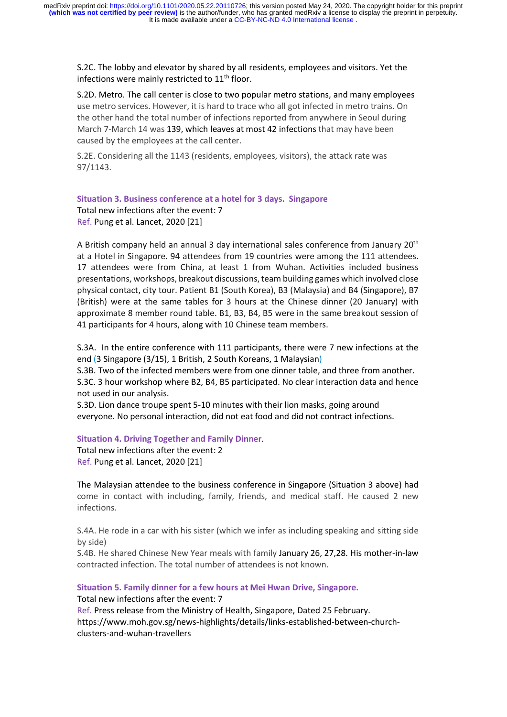S.2C. The lobby and elevator by shared by all residents, employees and visitors. Yet the infections were mainly restricted to  $11<sup>th</sup>$  floor.

S.2D. Metro. The call center is close to two popular metro stations, and many employees use metro services. However, it is hard to trace who all got infected in metro trains. On the other hand the total number of infections reported from anywhere in Seoul during March 7-March 14 was 139, which leaves at most 42 infections that may have been caused by the employees at the call center.

S.2E. Considering all the 1143 (residents, employees, visitors), the attack rate was 97/1143.

**Situation 3. Business conference at a hotel for 3 days. Singapore** Total new infections after the event: 7 Ref. Pung et al. Lancet, 2020 [21]

A British company held an annual 3 day international sales conference from January 20<sup>th</sup> at a Hotel in Singapore. 94 attendees from 19 countries were among the 111 attendees. 17 attendees were from China, at least 1 from Wuhan. Activities included business presentations, workshops, breakout discussions,team building games which involved close physical contact, city tour. Patient B1 (South Korea), B3 (Malaysia) and B4 (Singapore), B7 (British) were at the same tables for 3 hours at the Chinese dinner (20 January) with approximate 8 member round table. B1, B3, B4, B5 were in the same breakout session of 41 participants for 4 hours, along with 10 Chinese team members.

S.3A. In the entire conference with 111 participants, there were 7 new infections at the end (3 Singapore (3/15), 1 British, 2 South Koreans, 1 Malaysian)

S.3B. Two of the infected members were from one dinner table, and three from another.

S.3C. 3 hour workshop where B2, B4, B5 participated. No clear interaction data and hence not used in our analysis.

S.3D. Lion dance troupe spent 5-10 minutes with their lion masks, going around everyone. No personal interaction, did not eat food and did not contract infections.

**Situation 4. Driving Together and Family Dinner**.

Total new infections after the event: 2 Ref. Pung et al. Lancet, 2020 [21]

The Malaysian attendee to the business conference in Singapore (Situation 3 above) had come in contact with including, family, friends, and medical staff. He caused 2 new infections.

S.4A. He rode in a car with his sister (which we infer as including speaking and sitting side by side)

S.4B. He shared Chinese New Year meals with family January 26, 27,28. His mother-in-law contracted infection. The total number of attendees is not known.

**Situation 5. Family dinner for a few hours at Mei Hwan Drive, Singapore.**

Total new infections after the event: 7

Ref. Press release from the Ministry of Health, Singapore, Dated 25 February. https://www.moh.gov.sg/news-highlights/details/links-established-between-churchclusters-and-wuhan-travellers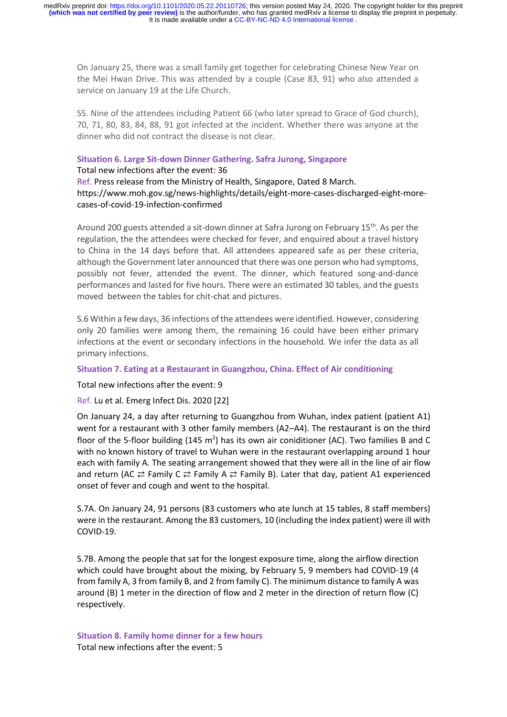On January 25, there was a small family get together for celebrating Chinese New Year on the Mei Hwan Drive. This was attended by a couple (Case 83, 91) who also attended a service on January 19 at the Life Church.

S5. Nine of the attendees including Patient 66 (who later spread to Grace of God church), 70, 71, 80, 83, 84, 88, 91 got infected at the incident. Whether there was anyone at the dinner who did not contract the disease is not clear.

#### **Situation 6. Large Sit-down Dinner Gathering. Safra Jurong, Singapore**

Total new infections after the event: 36 Ref. Press release from the Ministry of Health, Singapore, Dated 8 March. https://www.moh.gov.sg/news-highlights/details/eight-more-cases-discharged-eight-morecases-of-covid-19-infection-confirmed

Around 200 guests attended a sit-down dinner at Safra Jurong on February 15<sup>th</sup>. As per the regulation, the the attendees were checked for fever, and enquired about a travel history to China in the 14 days before that. All attendees appeared safe as per these criteria, although the Government later announced that there was one person who had symptoms, possibly not fever, attended the event. The dinner, which featured song-and-dance performances and lasted for five hours. There were an estimated 30 tables, and the guests moved between the tables for chit-chat and pictures.

S.6 Within a few days, 36 infections of the attendees were identified. However, considering only 20 families were among them, the remaining 16 could have been either primary infections at the event or secondary infections in the household. We infer the data as all primary infections.

### **Situation 7. Eating at a Restaurant in Guangzhou, China. Effect of Air conditioning**

Total new infections after the event: 9

Ref. Lu et al. Emerg Infect Dis. 2020 [22]

On January 24, a day after returning to Guangzhou from Wuhan, index patient (patient A1) went for a restaurant with 3 other family members (A2–A4). The restaurant is on the third floor of the 5-floor building (145 m<sup>2</sup>) has its own air coniditioner (AC). Two families B and C with no known history of travel to Wuhan were in the restaurant overlapping around 1 hour each with family A. The seating arrangement showed that they were all in the line of air flow and return (AC  $\rightleftarrows$  Family C  $\rightleftarrows$  Family A  $\rightleftarrows$  Family B). Later that day, patient A1 experienced onset of fever and cough and went to the hospital.

S.7A. On January 24, 91 persons (83 customers who ate lunch at 15 tables, 8 staff members) were in the restaurant. Among the 83 customers, 10 (including the index patient) were ill with COVID-19.

S.7B. Among the people that sat for the longest exposure time, along the airflow direction which could have brought about the mixing, by February 5, 9 members had COVID-19 (4 from family A, 3 from family B, and 2 from family C). The minimum distance to family A was around (B) 1 meter in the direction of flow and 2 meter in the direction of return flow (C) respectively.

**Situation 8. Family home dinner for a few hours** Total new infections after the event: 5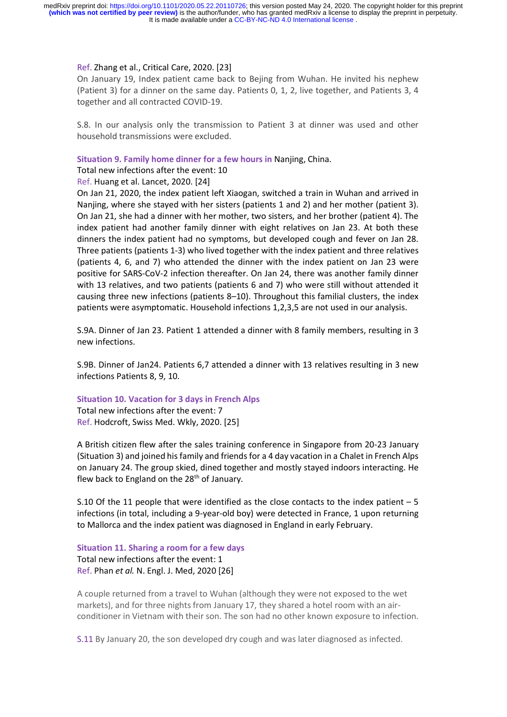#### Ref. Zhang et al., Critical Care, 2020. [23]

On January 19, Index patient came back to Bejing from Wuhan. He invited his nephew (Patient 3) for a dinner on the same day. Patients 0, 1, 2, live together, and Patients 3, 4 together and all contracted COVID-19.

S.8. In our analysis only the transmission to Patient 3 at dinner was used and other household transmissions were excluded.

**Situation 9. Family home dinner for a few hours in** Nanjing, China.

Total new infections after the event: 10

Ref. Huang et al. Lancet, 2020. [24]

On Jan 21, 2020, the index patient left Xiaogan, switched a train in Wuhan and arrived in Nanjing, where she stayed with her sisters (patients 1 and 2) and her mother (patient 3). On Jan 21, she had a dinner with her mother, two sisters, and her brother (patient 4). The index patient had another family dinner with eight relatives on Jan 23. At both these dinners the index patient had no symptoms, but developed cough and fever on Jan 28. Three patients (patients 1-3) who lived together with the index patient and three relatives (patients 4, 6, and 7) who attended the dinner with the index patient on Jan 23 were positive for SARS-CoV-2 infection thereafter. On Jan 24, there was another family dinner with 13 relatives, and two patients (patients 6 and 7) who were still without attended it causing three new infections (patients 8–10). Throughout this familial clusters, the index patients were asymptomatic. Household infections 1,2,3,5 are not used in our analysis.

S.9A. Dinner of Jan 23. Patient 1 attended a dinner with 8 family members, resulting in 3 new infections.

S.9B. Dinner of Jan24. Patients 6,7 attended a dinner with 13 relatives resulting in 3 new infections Patients 8, 9, 10.

#### **Situation 10. Vacation for 3 days in French Alps**

Total new infections after the event: 7 Ref. Hodcroft, Swiss Med. Wkly, 2020. [25]

A British citizen flew after the sales training conference in Singapore from 20-23 January (Situation 3) and joined his family and friends for a 4 day vacation in a Chalet in French Alps on January 24. The group skied, dined together and mostly stayed indoors interacting. He flew back to England on the 28<sup>th</sup> of January.

S.10 Of the 11 people that were identified as the close contacts to the index patient – 5 infections (in total, including a 9-year-old boy) were detected in France, 1 upon returning to Mallorca and the index patient was diagnosed in England in early February.

# **Situation 11. Sharing a room for a few days** Total new infections after the event: 1

Ref. Phan *et al.* N. Engl. J. Med, 2020 [26]

A couple returned from a travel to Wuhan (although they were not exposed to the wet markets), and for three nights from January 17, they shared a hotel room with an airconditioner in Vietnam with their son. The son had no other known exposure to infection.

S.11 By January 20, the son developed dry cough and was later diagnosed as infected.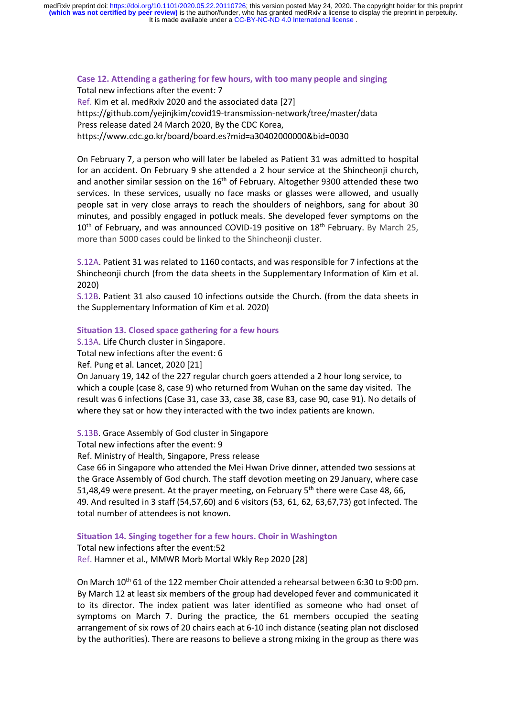**Case 12. Attending a gathering for few hours, with too many people and singing** Total new infections after the event: 7 Ref. Kim et al. medRxiv 2020 and the associated data [27] https://github.com/yejinjkim/covid19-transmission-network/tree/master/data

Press release dated 24 March 2020, By the CDC Korea,

https://www.cdc.go.kr/board/board.es?mid=a30402000000&bid=0030

On February 7, a person who will later be labeled as Patient 31 was admitted to hospital for an accident. On February 9 she attended a 2 hour service at the Shincheonji church, and another similar session on the  $16<sup>th</sup>$  of February. Altogether 9300 attended these two services. In these services, usually no face masks or glasses were allowed, and usually people sat in very close arrays to reach the shoulders of neighbors, sang for about 30 minutes, and possibly engaged in potluck meals. She developed fever symptoms on the  $10<sup>th</sup>$  of February, and was announced COVID-19 positive on  $18<sup>th</sup>$  February. By March 25, more than 5000 cases could be linked to the Shincheonji cluster.

S.12A. Patient 31 was related to 1160 contacts, and was responsible for 7 infections at the Shincheonji church (from the data sheets in the Supplementary Information of Kim et al. 2020)

S.12B. Patient 31 also caused 10 infections outside the Church. (from the data sheets in the Supplementary Information of Kim et al. 2020)

#### **Situation 13. Closed space gathering for a few hours**

S.13A. Life Church cluster in Singapore.

Total new infections after the event: 6

Ref. Pung et al. Lancet, 2020 [21]

On January 19, 142 of the 227 regular church goers attended a 2 hour long service, to which a couple (case 8, case 9) who returned from Wuhan on the same day visited. The result was 6 infections (Case 31, case 33, case 38, case 83, case 90, case 91). No details of where they sat or how they interacted with the two index patients are known.

S.13B. Grace Assembly of God cluster in Singapore

Total new infections after the event: 9

Ref. Ministry of Health, Singapore, Press release

Case 66 in Singapore who attended the Mei Hwan Drive dinner, attended two sessions at the Grace Assembly of God church. The staff devotion meeting on 29 January, where case 51,48,49 were present. At the prayer meeting, on February  $5<sup>th</sup>$  there were Case 48, 66, 49. And resulted in 3 staff (54,57,60) and 6 visitors (53, 61, 62, 63,67,73) got infected. The total number of attendees is not known.

#### **Situation 14. Singing together for a few hours. Choir in Washington**

Total new infections after the event:52 Ref. Hamner et al., MMWR Morb Mortal Wkly Rep 2020 [28]

On March 10<sup>th</sup> 61 of the 122 member Choir attended a rehearsal between 6:30 to 9:00 pm. By March 12 at least six members of the group had developed fever and communicated it to its director. The index patient was later identified as someone who had onset of symptoms on March 7. During the practice, the 61 members occupied the seating arrangement of six rows of 20 chairs each at 6-10 inch distance (seating plan not disclosed by the authorities). There are reasons to believe a strong mixing in the group as there was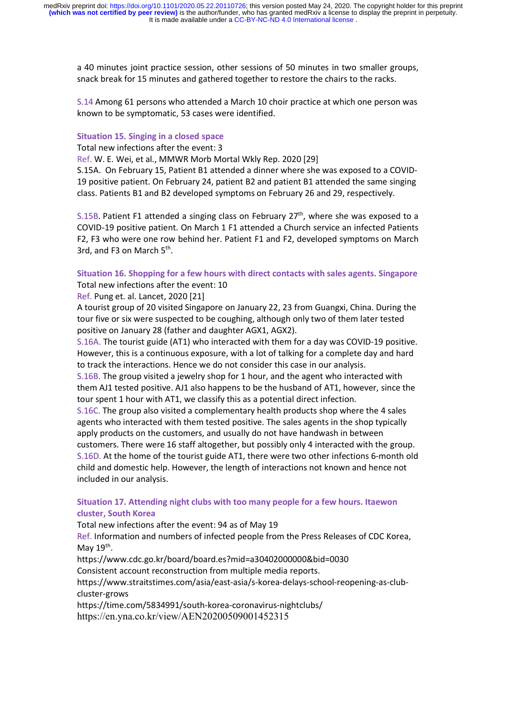a 40 minutes joint practice session, other sessions of 50 minutes in two smaller groups, snack break for 15 minutes and gathered together to restore the chairs to the racks.

S.14 Among 61 persons who attended a March 10 choir practice at which one person was known to be symptomatic, 53 cases were identified.

#### **Situation 15. Singing in a closed space**

Total new infections after the event: 3

Ref. W. E. Wei, et al., MMWR Morb Mortal Wkly Rep. 2020 [29]

S.15A. On February 15, Patient B1 attended a dinner where she was exposed to a COVID-19 positive patient. On February 24, patient B2 and patient B1 attended the same singing class. Patients B1 and B2 developed symptoms on February 26 and 29, respectively.

 $S.15B$ . Patient F1 attended a singing class on February 27<sup>th</sup>, where she was exposed to a COVID-19 positive patient. On March 1 F1 attended a Church service an infected Patients F2, F3 who were one row behind her. Patient F1 and F2, developed symptoms on March 3rd, and F3 on March 5<sup>th</sup>.

# **Situation 16. Shopping for a few hours with direct contacts with sales agents. Singapore** Total new infections after the event: 10

Ref. Pung et. al. Lancet, 2020 [21]

A tourist group of 20 visited Singapore on January 22, 23 from Guangxi, China. During the tour five or six were suspected to be coughing, although only two of them later tested positive on January 28 (father and daughter AGX1, AGX2).

S.16A. The tourist guide (AT1) who interacted with them for a day was COVID-19 positive. However, this is a continuous exposure, with a lot of talking for a complete day and hard to track the interactions. Hence we do not consider this case in our analysis.

S.16B. The group visited a jewelry shop for 1 hour, and the agent who interacted with them AJ1 tested positive. AJ1 also happens to be the husband of AT1, however, since the tour spent 1 hour with AT1, we classify this as a potential direct infection.

S.16C. The group also visited a complementary health products shop where the 4 sales agents who interacted with them tested positive. The sales agents in the shop typically apply products on the customers, and usually do not have handwash in between customers. There were 16 staff altogether, but possibly only 4 interacted with the group. S.16D. At the home of the tourist guide AT1, there were two other infections 6-month old child and domestic help. However, the length of interactions not known and hence not included in our analysis.

# **Situation 17. Attending night clubs with too many people for a few hours. Itaewon cluster, South Korea**

Total new infections after the event: 94 as of May 19

Ref. Information and numbers of infected people from the Press Releases of CDC Korea, May  $19<sup>th</sup>$ .

https://www.cdc.go.kr/board/board.es?mid=a30402000000&bid=0030

Consistent account reconstruction from multiple media reports.

https://www.straitstimes.com/asia/east-asia/s-korea-delays-school-reopening-as-clubcluster-grows

https://time.com/5834991/south-korea-coronavirus-nightclubs/

https://en.yna.co.kr/view/AEN20200509001452315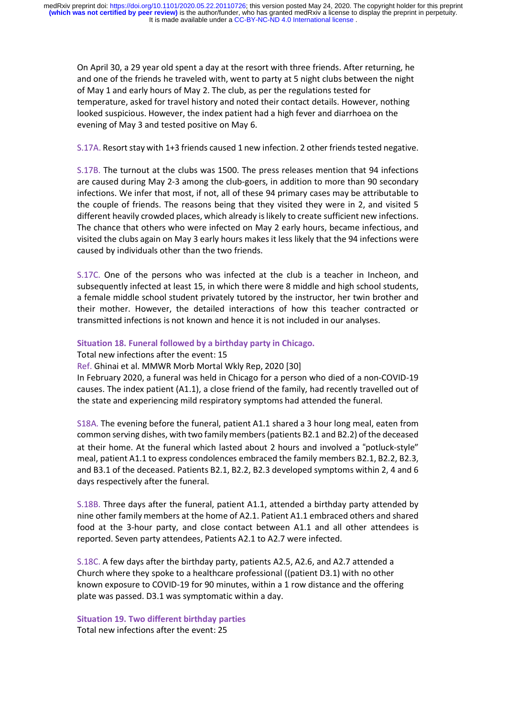On April 30, a 29 year old spent a day at the resort with three friends. After returning, he and one of the friends he traveled with, went to party at 5 night clubs between the night of May 1 and early hours of May 2. The club, as per the regulations tested for temperature, asked for travel history and noted their contact details. However, nothing looked suspicious. However, the index patient had a high fever and diarrhoea on the evening of May 3 and tested positive on May 6.

## S.17A. Resort stay with 1+3 friends caused 1 new infection. 2 other friends tested negative.

S.17B. The turnout at the clubs was 1500. The press releases mention that 94 infections are caused during May 2-3 among the club-goers, in addition to more than 90 secondary infections. We infer that most, if not, all of these 94 primary cases may be attributable to the couple of friends. The reasons being that they visited they were in 2, and visited 5 different heavily crowded places, which already islikely to create sufficient new infections. The chance that others who were infected on May 2 early hours, became infectious, and visited the clubs again on May 3 early hours makes it less likely that the 94 infections were caused by individuals other than the two friends.

S.17C. One of the persons who was infected at the club is a teacher in Incheon, and subsequently infected at least 15, in which there were 8 middle and high school students, a female middle school student privately tutored by the instructor, her twin brother and their mother. However, the detailed interactions of how this teacher contracted or transmitted infections is not known and hence it is not included in our analyses.

#### **Situation 18. Funeral followed by a birthday party in Chicago.**

Total new infections after the event: 15

Ref. Ghinai et al. MMWR Morb Mortal Wkly Rep, 2020 [30]

In February 2020, a funeral was held in Chicago for a person who died of a non-COVID-19 causes. The index patient (A1.1), a close friend of the family, had recently travelled out of the state and experiencing mild respiratory symptoms had attended the funeral.

S18A. The evening before the funeral, patient A1.1 shared a 3 hour long meal, eaten from common serving dishes, with two family members (patients B2.1 and B2.2) of the deceased at their home. At the funeral which lasted about 2 hours and involved a "potluck-style" meal, patient A1.1 to express condolences embraced the family members B2.1, B2.2, B2.3, and B3.1 of the deceased. Patients B2.1, B2.2, B2.3 developed symptoms within 2, 4 and 6 days respectively after the funeral.

S.18B. Three days after the funeral, patient A1.1, attended a birthday party attended by nine other family members at the home of A2.1. Patient A1.1 embraced others and shared food at the 3-hour party, and close contact between A1.1 and all other attendees is reported. Seven party attendees, Patients A2.1 to A2.7 were infected.

S.18C. A few days after the birthday party, patients A2.5, A2.6, and A2.7 attended a Church where they spoke to a healthcare professional ((patient D3.1) with no other known exposure to COVID-19 for 90 minutes, within a 1 row distance and the offering plate was passed. D3.1 was symptomatic within a day.

**Situation 19. Two different birthday parties** Total new infections after the event: 25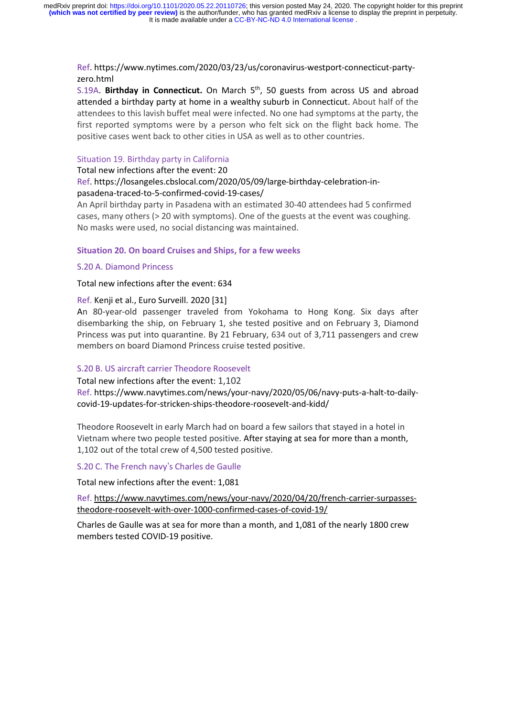Ref. https://www.nytimes.com/2020/03/23/us/coronavirus-westport-connecticut-partyzero.html

S.19A. **Birthday in Connecticut.** On March 5th, 50 guests from across US and abroad attended a birthday party at home in a wealthy suburb in Connecticut. About half of the attendees to this lavish buffet meal were infected. No one had symptoms at the party, the first reported symptoms were by a person who felt sick on the flight back home. The positive cases went back to other cities in USA as well as to other countries.

#### Situation 19. Birthday party in California

Total new infections after the event: 20

## Ref. https://losangeles.cbslocal.com/2020/05/09/large-birthday-celebration-inpasadena-traced-to-5-confirmed-covid-19-cases/

An April birthday party in Pasadena with an estimated 30-40 attendees had 5 confirmed cases, many others (> 20 with symptoms). One of the guests at the event was coughing. No masks were used, no social distancing was maintained.

## **Situation 20. On board Cruises and Ships, for a few weeks**

#### S.20 A. Diamond Princess

Total new infections after the event: 634

## Ref. Kenji et al., Euro Surveill. 2020 [31]

An 80-year-old passenger traveled from Yokohama to Hong Kong. Six days after disembarking the ship, on February 1, she tested positive and on February 3, Diamond Princess was put into quarantine. By 21 February, 634 out of 3,711 passengers and crew members on board Diamond Princess cruise tested positive.

## S.20 B. US aircraft carrier Theodore Roosevelt

Total new infections after the event: 1,102 Ref. https://www.navytimes.com/news/your-navy/2020/05/06/navy-puts-a-halt-to-dailycovid-19-updates-for-stricken-ships-theodore-roosevelt-and-kidd/

Theodore Roosevelt in early March had on board a few sailors that stayed in a hotel in Vietnam where two people tested positive. After staying at sea for more than a month, 1,102 out of the total crew of 4,500 tested positive.

# S.20 C. The French navy's Charles de Gaulle

Total new infections after the event: 1,081

Ref. https://www.navytimes.com/news/your-navy/2020/04/20/french-carrier-surpassestheodore-roosevelt-with-over-1000-confirmed-cases-of-covid-19/

Charles de Gaulle was at sea for more than a month, and 1,081 of the nearly 1800 crew members tested COVID-19 positive.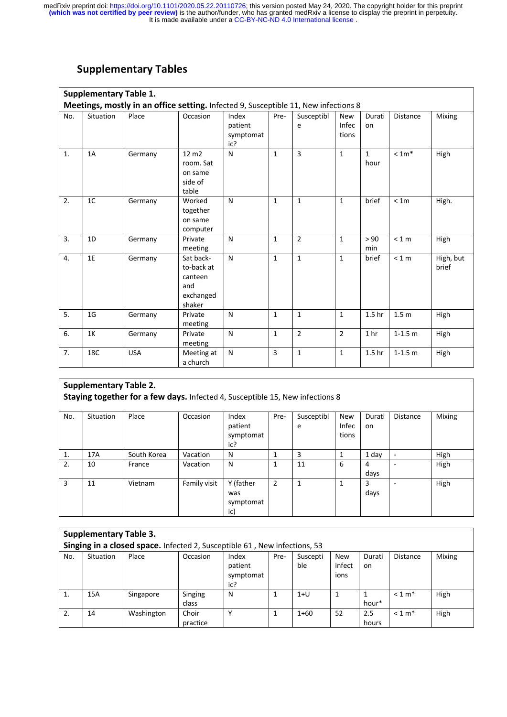# **Supplementary Tables**

|     | <b>Supplementary Table 1.</b><br>Meetings, mostly in an office setting. Infected 9, Susceptible 11, New infections 8 |            |                                                                  |                                      |                |                 |                              |                      |                  |                    |  |  |  |  |
|-----|----------------------------------------------------------------------------------------------------------------------|------------|------------------------------------------------------------------|--------------------------------------|----------------|-----------------|------------------------------|----------------------|------------------|--------------------|--|--|--|--|
| No. | Situation                                                                                                            | Place      | Occasion                                                         | Index<br>patient<br>symptomat<br>ic? | Pre-           | Susceptibl<br>e | <b>New</b><br>Infec<br>tions | Durati<br>on         | <b>Distance</b>  | Mixing             |  |  |  |  |
| 1.  | 1A                                                                                                                   | Germany    | $12 \text{ m}$<br>room. Sat<br>on same<br>side of<br>table       | N                                    | $\mathbf{1}$   | 3               | $\mathbf{1}$                 | $\mathbf{1}$<br>hour | $< 1m*$          | High               |  |  |  |  |
| 2.  | 1 <sup>C</sup>                                                                                                       | Germany    | Worked<br>together<br>on same<br>computer                        | N                                    | $\mathbf{1}$   | $\mathbf{1}$    | $\mathbf{1}$                 | brief                | < 1m             | High.              |  |  |  |  |
| 3.  | 1D                                                                                                                   | Germany    | Private<br>meeting                                               | N                                    | $\mathbf{1}$   | $\overline{2}$  | $\mathbf{1}$                 | > 90<br>min          | < 1 m            | High               |  |  |  |  |
| 4.  | 1E                                                                                                                   | Germany    | Sat back-<br>to-back at<br>canteen<br>and<br>exchanged<br>shaker | N                                    | $\mathbf{1}$   | $\mathbf{1}$    | $\mathbf{1}$                 | brief                | < 1 m            | High, but<br>brief |  |  |  |  |
| 5.  | 1 <sub>G</sub>                                                                                                       | Germany    | Private<br>meeting                                               | N                                    | $\mathbf{1}$   | $\mathbf{1}$    | $\mathbf{1}$                 | 1.5 <sub>hr</sub>    | 1.5 <sub>m</sub> | High               |  |  |  |  |
| 6.  | 1K                                                                                                                   | Germany    | Private<br>meeting                                               | N                                    | $\mathbf{1}$   | $\overline{2}$  | $\overline{2}$               | 1 <sub>hr</sub>      | $1 - 1.5$ m      | High               |  |  |  |  |
| 7.  | 18C                                                                                                                  | <b>USA</b> | Meeting at<br>a church                                           | N                                    | $\overline{3}$ | $\mathbf{1}$    | $\mathbf{1}$                 | 1.5 <sub>hr</sub>    | $1 - 1.5$ m      | High               |  |  |  |  |

|     | <b>Supplementary Table 2.</b><br>Staying together for a few days. Infected 4, Susceptible 15, New infections 8 |             |              |                                      |                |                 |                              |               |                 |        |  |  |  |
|-----|----------------------------------------------------------------------------------------------------------------|-------------|--------------|--------------------------------------|----------------|-----------------|------------------------------|---------------|-----------------|--------|--|--|--|
| No. | Situation                                                                                                      | Place       | Occasion     | Index<br>patient<br>symptomat<br>ic? | Pre-           | Susceptibl<br>e | New<br><b>Infec</b><br>tions | Durati<br>on. | <b>Distance</b> | Mixing |  |  |  |
| 1.  | 17A                                                                                                            | South Korea | Vacation     | N                                    |                | 3               |                              | 1 day         | ٠               | High   |  |  |  |
| 2.  | 10                                                                                                             | France      | Vacation     | N                                    | 1              | 11              | 6                            | 4<br>days     | -               | High   |  |  |  |
| 3   | 11                                                                                                             | Vietnam     | Family visit | Y (father<br>was<br>symptomat<br>ic) | $\overline{2}$ | 1               |                              | 3<br>days     | -               | High   |  |  |  |

|                                                                           | <b>Supplementary Table 3.</b> |            |                   |                                      |      |                 |                              |               |                 |               |  |  |  |
|---------------------------------------------------------------------------|-------------------------------|------------|-------------------|--------------------------------------|------|-----------------|------------------------------|---------------|-----------------|---------------|--|--|--|
| Singing in a closed space. Infected 2, Susceptible 61, New infections, 53 |                               |            |                   |                                      |      |                 |                              |               |                 |               |  |  |  |
| No.                                                                       | <b>Situation</b>              | Place      | Occasion          | Index<br>patient<br>symptomat<br>ic? | Pre- | Suscepti<br>ble | <b>New</b><br>infect<br>ions | Durati<br>on. | <b>Distance</b> | <b>Mixing</b> |  |  |  |
| 1.                                                                        | 15A                           | Singapore  | Singing<br>class  | N                                    |      | $1+U$           |                              | hour*         | $< 1 m*$        | High          |  |  |  |
| 2.                                                                        | 14                            | Washington | Choir<br>practice |                                      |      | $1+60$          | 52                           | 2.5<br>hours  | $< 1 m*$        | High          |  |  |  |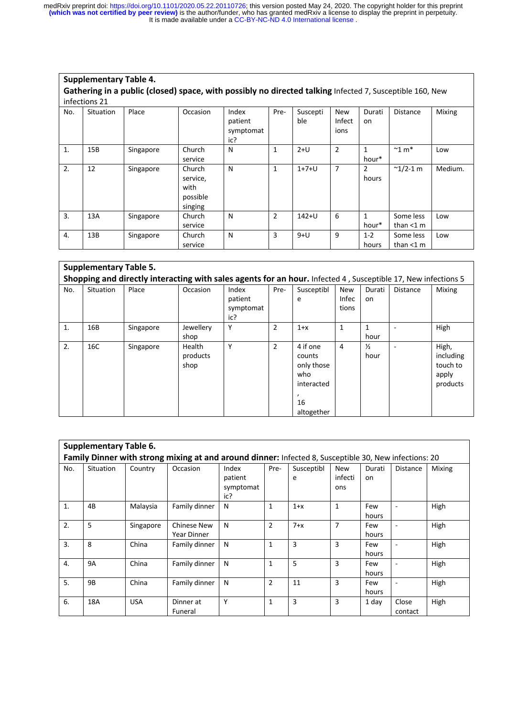**Supplementary Table 4.** 

| Gathering in a public (closed) space, with possibly no directed talking Infected 7, Susceptible 160, New |                  |           |                                                   |                                      |              |                 |                       |                         |                             |         |  |  |  |
|----------------------------------------------------------------------------------------------------------|------------------|-----------|---------------------------------------------------|--------------------------------------|--------------|-----------------|-----------------------|-------------------------|-----------------------------|---------|--|--|--|
|                                                                                                          | infections 21    |           |                                                   |                                      |              |                 |                       |                         |                             |         |  |  |  |
| No.                                                                                                      | <b>Situation</b> | Place     | Occasion                                          | Index<br>patient<br>symptomat<br>ic? | Pre-         | Suscepti<br>ble | New<br>Infect<br>ions | Durati<br>on            | <b>Distance</b>             | Mixing  |  |  |  |
| 1.                                                                                                       | 15B              | Singapore | Church<br>service                                 | N                                    | $\mathbf{1}$ | $2+U$           | 2                     | 1<br>hour*              | $~^{\sim}$ 1 m <sup>*</sup> | Low     |  |  |  |
| 2.                                                                                                       | 12               | Singapore | Church<br>service,<br>with<br>possible<br>singing | N                                    | $\mathbf{1}$ | $1+7+U$         | 7                     | $\overline{2}$<br>hours | $^{\sim}$ 1/2-1 m           | Medium. |  |  |  |
| 3.                                                                                                       | 13A              | Singapore | Church<br>service                                 | N                                    | 2            | $142 + U$       | 6                     | $\mathbf{1}$<br>hour*   | Some less<br>than $<$ 1 m   | Low     |  |  |  |
| 4.                                                                                                       | 13B              | Singapore | Church<br>service                                 | N                                    | 3            | $9+U$           | 9                     | $1 - 2$<br>hours        | Some less<br>than $<$ 1 m   | Low     |  |  |  |

| <b>Supplementary Table 5.</b>                                                                                 |                  |           |                            |                                      |                |                                                                           |                                     |                       |                 |                                                     |  |  |  |
|---------------------------------------------------------------------------------------------------------------|------------------|-----------|----------------------------|--------------------------------------|----------------|---------------------------------------------------------------------------|-------------------------------------|-----------------------|-----------------|-----------------------------------------------------|--|--|--|
| Shopping and directly interacting with sales agents for an hour. Infected 4, Susceptible 17, New infections 5 |                  |           |                            |                                      |                |                                                                           |                                     |                       |                 |                                                     |  |  |  |
| No.                                                                                                           | <b>Situation</b> | Place     | Occasion                   | Index<br>patient<br>symptomat<br>ic? | Pre-           | Susceptibl<br>e                                                           | <b>New</b><br><b>Infec</b><br>tions | Durati<br>on          | <b>Distance</b> | <b>Mixing</b>                                       |  |  |  |
| $\mathbf{1}$ .                                                                                                | 16B              | Singapore | Jewellery<br>shop          | Υ                                    | $\overline{2}$ | $1+x$                                                                     | $\mathbf{1}$                        | 1<br>hour             |                 | High                                                |  |  |  |
| 2.                                                                                                            | 16C              | Singapore | Health<br>products<br>shop | Υ                                    | $\overline{2}$ | 4 if one<br>counts<br>only those<br>who<br>interacted<br>16<br>altogether | 4                                   | $\frac{1}{2}$<br>hour |                 | High,<br>including<br>touch to<br>apply<br>products |  |  |  |

|                  | <b>Supplementary Table 6.</b> |            |                                                                                                       |                                      |                |                 |                              |              |                          |        |
|------------------|-------------------------------|------------|-------------------------------------------------------------------------------------------------------|--------------------------------------|----------------|-----------------|------------------------------|--------------|--------------------------|--------|
|                  |                               |            | Family Dinner with strong mixing at and around dinner: Infected 8, Susceptible 30, New infections: 20 |                                      |                |                 |                              |              |                          |        |
| No.              | <b>Situation</b>              | Country    | Occasion                                                                                              | Index<br>patient<br>symptomat<br>ic? | Pre-           | Susceptibl<br>e | <b>New</b><br>infecti<br>ons | Durati<br>on | <b>Distance</b>          | Mixing |
| 1.               | 4B                            | Malaysia   | Family dinner                                                                                         | N                                    | $\mathbf{1}$   | $1+x$           | $\mathbf{1}$                 | Few<br>hours |                          | High   |
| 2.               | 5                             | Singapore  | Chinese New<br>Year Dinner                                                                            | N                                    | $\overline{2}$ | $7+x$           | 7                            | Few<br>hours | $\overline{\phantom{a}}$ | High   |
| $\overline{3}$ . | 8                             | China      | Family dinner                                                                                         | N                                    | $\mathbf{1}$   | 3               | 3                            | Few<br>hours |                          | High   |
| $\overline{4}$ . | <b>9A</b>                     | China      | Family dinner                                                                                         | N                                    | $\mathbf{1}$   | 5               | 3                            | Few<br>hours |                          | High   |
| 5.               | 9B                            | China      | Family dinner                                                                                         | N                                    | $\overline{2}$ | 11              | 3                            | Few<br>hours | $\overline{\phantom{a}}$ | High   |
| 6.               | 18A                           | <b>USA</b> | Dinner at<br>Funeral                                                                                  | Υ                                    | $\mathbf{1}$   | 3               | 3                            | 1 day        | Close<br>contact         | High   |